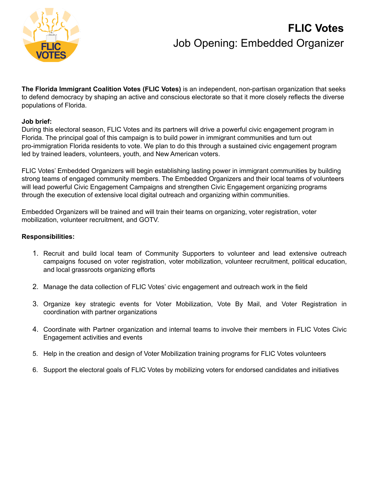

# **FLIC Votes** Job Opening: Embedded Organizer

**The Florida Immigrant Coalition Votes (FLIC Votes)** is an independent, non-partisan organization that seeks to defend democracy by shaping an active and conscious electorate so that it more closely reflects the diverse populations of Florida.

### **Job brief:**

During this electoral season, FLIC Votes and its partners will drive a powerful civic engagement program in Florida. The principal goal of this campaign is to build power in immigrant communities and turn out pro-immigration Florida residents to vote. We plan to do this through a sustained civic engagement program led by trained leaders, volunteers, youth, and New American voters.

FLIC Votes' Embedded Organizers will begin establishing lasting power in immigrant communities by building strong teams of engaged community members. The Embedded Organizers and their local teams of volunteers will lead powerful Civic Engagement Campaigns and strengthen Civic Engagement organizing programs through the execution of extensive local digital outreach and organizing within communities.

Embedded Organizers will be trained and will train their teams on organizing, voter registration, voter mobilization, volunteer recruitment, and GOTV.

### **Responsibilities:**

- 1. Recruit and build local team of Community Supporters to volunteer and lead extensive outreach campaigns focused on voter registration, voter mobilization, volunteer recruitment, political education, and local grassroots organizing efforts
- 2. Manage the data collection of FLIC Votes' civic engagement and outreach work in the field
- 3. Organize key strategic events for Voter Mobilization, Vote By Mail, and Voter Registration in coordination with partner organizations
- 4. Coordinate with Partner organization and internal teams to involve their members in FLIC Votes Civic Engagement activities and events
- 5. Help in the creation and design of Voter Mobilization training programs for FLIC Votes volunteers
- 6. Support the electoral goals of FLIC Votes by mobilizing voters for endorsed candidates and initiatives